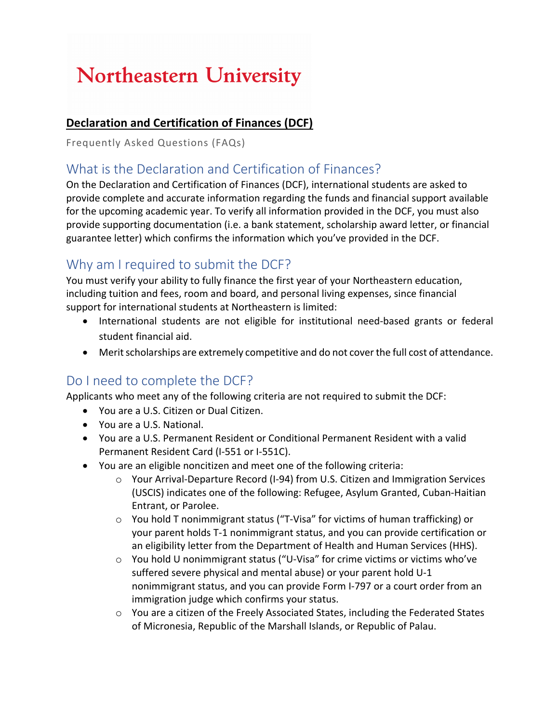# **Northeastern University**

#### **Declaration and Certification of Finances (DCF)**

Frequently Asked Questions (FAQs)

#### What is the Declaration and Certification of Finances?

On the Declaration and Certification of Finances (DCF), international students are asked to provide complete and accurate information regarding the funds and financial support available for the upcoming academic year. To verify all information provided in the DCF, you must also provide supporting documentation (i.e. a bank statement, scholarship award letter, or financial guarantee letter) which confirms the information which you've provided in the DCF.

# Why am I required to submit the DCF?

You must verify your ability to fully finance the first year of your Northeastern education, including tuition and fees, room and board, and personal living expenses, since financial support for international students at Northeastern is limited:

- International students are not eligible for institutional need-based grants or federal student financial aid.
- Merit scholarships are extremely competitive and do not cover the full cost of attendance.

### Do I need to complete the DCF?

Applicants who meet any of the following criteria are not required to submit the DCF:

- You are a U.S. Citizen or Dual Citizen.
- You are a U.S. National.
- You are a U.S. Permanent Resident or Conditional Permanent Resident with a valid Permanent Resident Card (I-551 or I-551C).
- You are an eligible noncitizen and meet one of the following criteria:
	- o Your Arrival-Departure Record (I-94) from U.S. Citizen and Immigration Services (USCIS) indicates one of the following: Refugee, Asylum Granted, Cuban-Haitian Entrant, or Parolee.
	- $\circ$  You hold T nonimmigrant status ("T-Visa" for victims of human trafficking) or your parent holds T-1 nonimmigrant status, and you can provide certification or an eligibility letter from the Department of Health and Human Services (HHS).
	- o You hold U nonimmigrant status ("U-Visa" for crime victims or victims who've suffered severe physical and mental abuse) or your parent hold U-1 nonimmigrant status, and you can provide Form I-797 or a court order from an immigration judge which confirms your status.
	- o You are a citizen of the Freely Associated States, including the Federated States of Micronesia, Republic of the Marshall Islands, or Republic of Palau.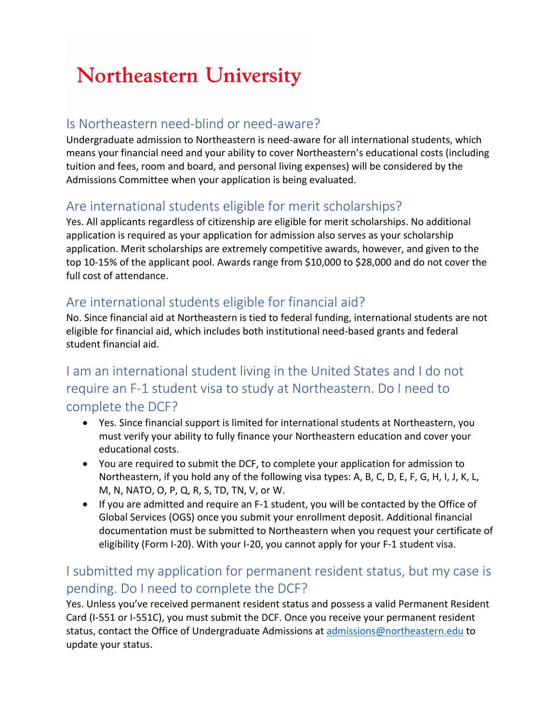# **Northeastern University**

### Is Northeastern need-blind or need-aware?

Undergraduate admission to Northeastern is need-aware for all international students, which means your financial need and your ability to cover Northeastern's educational costs (including tuition and fees, room and board, and personal living expenses) will be considered by the Admissions Committee when your application is being evaluated.

### Are international students eligible for merit scholarships?

Yes. All applicants regardless of citizenship are eligible for merit scholarships. No additional application is required as your application for admission also serves as your scholarship application. Merit scholarships are extremely competitive awards, however, and given to the top 10-15% of the applicant pool. Awards range from \$10,000 to \$28,000 and do not cover the full cost of attendance.

### Are international students eligible for financial aid?

No. Since financial aid at Northeastern is tied to federal funding, international students are not eligible for financial aid, which includes both institutional need-based grants and federal student financial aid.

# I am an international student living in the United States and I do not require an F-1 student visa to study at Northeastern. Do I need to complete the DCF?

- Yes. Since financial support is limited for international students at Northeastern, you must verify your ability to fully finance your Northeastern education and cover your educational costs.
- You are required to submit the DCF, to complete your application for admission to Northeastern, if you hold any of the following visa types: A, B, C, D, E, F, G, H, I, J, K, L, M, N, NATO, O, P, Q, R, S, TD, TN, V, or W.
- If you are admitted and require an F-1 student, you will be contacted by the Office of Global Services (OGS) once you submit your enrollment deposit. Additional financial documentation must be submitted to Northeastern when you request your certificate of eligibility (Form I-20). With your I-20, you cannot apply for your F-1 student visa.

# I submitted my application for permanent resident status, but my case is pending. Do I need to complete the DCF?

Yes. Unless you've received permanent resident status and possess a valid Permanent Resident Card (I-551 or I-551C), you must submit the DCF. Once you receive your permanent resident status, contact the Office of Undergraduate Admissions at admissions@northeastern.edu to update your status.